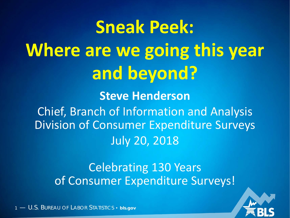**Sneak Peek: Where are we going this year and beyond? Steve Henderson** Chief, Branch of Information and Analysis Division of Consumer Expenditure Surveys July 20, 2018

> Celebrating 130 Years of Consumer Expenditure Surveys!



1 — U.S. BUREAU OF LABOR STATISTICS • **bls.gov**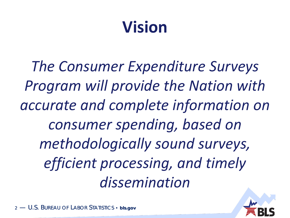## **Vision**

*The Consumer Expenditure Surveys Program will provide the Nation with accurate and complete information on consumer spending, based on methodologically sound surveys, efficient processing, and timely dissemination*

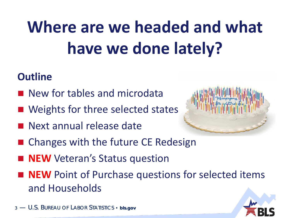# **Where are we headed and what have we done lately?**

#### **Outline**

- **New for tables and microdata**
- Weights for three selected states
- **Next annual release date**



- Changes with the future CE Redesign
- **NEW** Veteran's Status question
- **NEW** Point of Purchase questions for selected items and Households



3 - U.S. BUREAU OF LABOR STATISTICS · bls.gov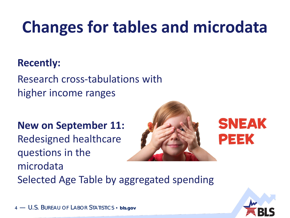## **Changes for tables and microdata**

#### **Recently:**

Research cross-tabulations with higher income ranges

**New on September 11:**

Redesigned healthcare questions in the microdata



Selected Age Table by aggregated spending

4 — U.S. BUREAU OF LABOR STATISTICS · bls.gov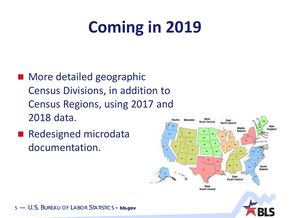## **Coming in 2019**

- More detailed geographic Census Divisions, in addition to Census Regions, using 2017 and 2018 data.
- Redesigned microdata documentation.

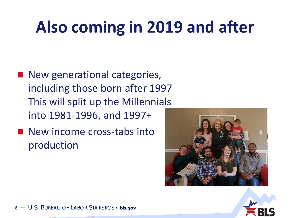## **Also coming in 2019 and after**

- New generational categories, including those born after 1997 This will split up the Millennials into 1981-1996, and 1997+
- New income cross-tabs into production





6 - U.S. BUREAU OF LABOR STATISTICS • bls.gov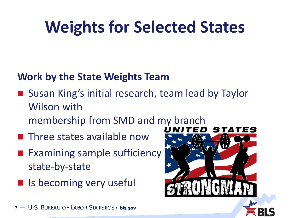## **Weights for Selected States**

#### **Work by the State Weights Team**

■ Susan King's initial research, team lead by Taylor Wilson with

STATES

- membership from SMD and my branch
- **Three states available now**
- **Examining sample sufficiency** state-by-state
- $\blacksquare$  Is becoming very useful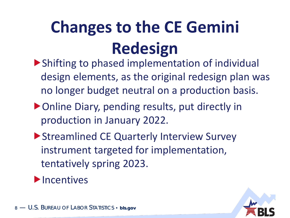## **Changes to the CE Gemini Redesign**

- Shifting to phased implementation of individual design elements, as the original redesign plan was no longer budget neutral on a production basis.
- ▶ Online Diary, pending results, put directly in production in January 2022.
- Streamlined CE Quarterly Interview Survey instrument targeted for implementation, tentatively spring 2023.
- $\blacktriangleright$  Incentives

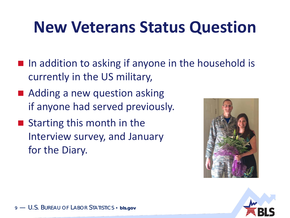#### **New Veterans Status Question**

- $\blacksquare$  In addition to asking if anyone in the household is currently in the US military,
- Adding a new question asking if anyone had served previously.
- Starting this month in the Interview survey, and January for the Diary.



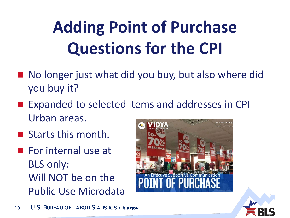# **Adding Point of Purchase Questions for the CPI**

- No longer just what did you buy, but also where did you buy it?
- Expanded to selected items and addresses in CPI Urban areas.
- Starts this month.
- $\blacksquare$  For internal use at BLS only: Will NOT be on the Public Use Microdata





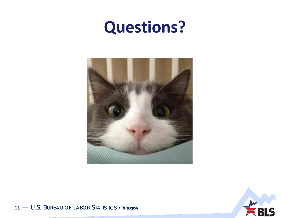#### **Questions?**





11 - U.S. BUREAU OF LABOR STATISTICS · bls.gov